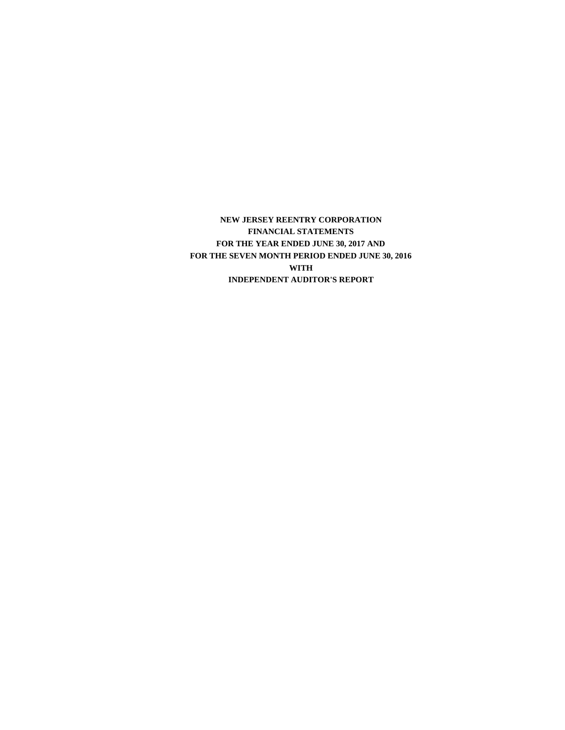**NEW JERSEY REENTRY CORPORATION FINANCIAL STATEMENTS FOR THE SEVEN MONTH PERIOD ENDED JUNE 30, 2016 WITH INDEPENDENT AUDITOR'S REPORT FOR THE YEAR ENDED JUNE 30, 2017 AND**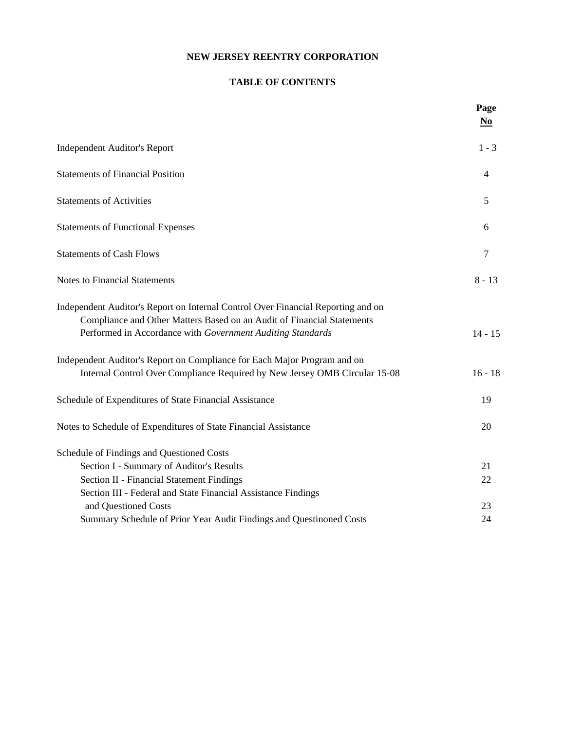### **NEW JERSEY REENTRY CORPORATION**

### **TABLE OF CONTENTS**

|                                                                                                                                                                                                                          | Page<br>$\underline{\mathbf{N}\mathbf{0}}$ |
|--------------------------------------------------------------------------------------------------------------------------------------------------------------------------------------------------------------------------|--------------------------------------------|
| <b>Independent Auditor's Report</b>                                                                                                                                                                                      | $1 - 3$                                    |
| <b>Statements of Financial Position</b>                                                                                                                                                                                  | 4                                          |
| <b>Statements of Activities</b>                                                                                                                                                                                          | 5                                          |
| <b>Statements of Functional Expenses</b>                                                                                                                                                                                 | 6                                          |
| <b>Statements of Cash Flows</b>                                                                                                                                                                                          | 7                                          |
| <b>Notes to Financial Statements</b>                                                                                                                                                                                     | $8 - 13$                                   |
| Independent Auditor's Report on Internal Control Over Financial Reporting and on<br>Compliance and Other Matters Based on an Audit of Financial Statements<br>Performed in Accordance with Government Auditing Standards | $14 - 15$                                  |
| Independent Auditor's Report on Compliance for Each Major Program and on<br>Internal Control Over Compliance Required by New Jersey OMB Circular 15-08                                                                   | $16 - 18$                                  |
| Schedule of Expenditures of State Financial Assistance                                                                                                                                                                   | 19                                         |
| Notes to Schedule of Expenditures of State Financial Assistance                                                                                                                                                          | 20                                         |
| Schedule of Findings and Questioned Costs                                                                                                                                                                                |                                            |
| Section I - Summary of Auditor's Results                                                                                                                                                                                 | 21                                         |
| <b>Section II - Financial Statement Findings</b>                                                                                                                                                                         | 22                                         |
| Section III - Federal and State Financial Assistance Findings                                                                                                                                                            |                                            |
| and Questioned Costs                                                                                                                                                                                                     | 23                                         |
| Summary Schedule of Prior Year Audit Findings and Questinoned Costs                                                                                                                                                      | 24                                         |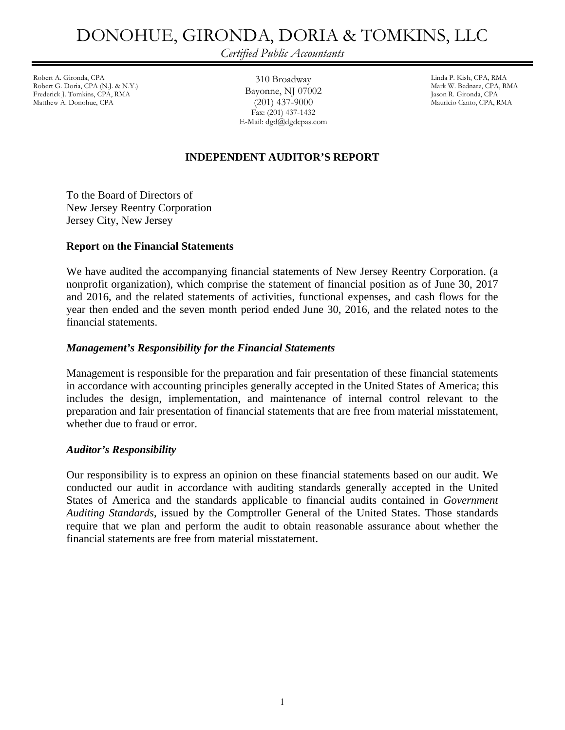### DONOHUE, GIRONDA, DORIA & TOMKINS, LLC

*Certified Public Accountants* 

Robert A. Gironda, CPA Linda P. Kish, CPA, RMA Robert G. Doria, CPA (N.J. & N.Y.) Frederick J. Tomkins, CPA, RMA **DayONINE, 1918** OTOUZ Jason R. Gironda, CPA<br>Matthew A. Donohue, CPA (2011) 437-9000 Mauricio Canto, CPA, R

310 Broadway Bayonne, NJ 07002 (201) 437-9000 Fax: (201) 437-1432 E-Mail: dgd@dgdcpas.com Mauricio Canto, CPA, RMA

### **INDEPENDENT AUDITOR'S REPORT**

To the Board of Directors of New Jersey Reentry Corporation Jersey City, New Jersey

### **Report on the Financial Statements**

We have audited the accompanying financial statements of New Jersey Reentry Corporation. (a nonprofit organization), which comprise the statement of financial position as of June 30, 2017 and 2016, and the related statements of activities, functional expenses, and cash flows for the year then ended and the seven month period ended June 30, 2016, and the related notes to the financial statements.

### *Management's Responsibility for the Financial Statements*

Management is responsible for the preparation and fair presentation of these financial statements in accordance with accounting principles generally accepted in the United States of America; this includes the design, implementation, and maintenance of internal control relevant to the preparation and fair presentation of financial statements that are free from material misstatement, whether due to fraud or error.

### *Auditor's Responsibility*

Our responsibility is to express an opinion on these financial statements based on our audit. We conducted our audit in accordance with auditing standards generally accepted in the United States of America and the standards applicable to financial audits contained in *Government Auditing Standards*, issued by the Comptroller General of the United States. Those standards require that we plan and perform the audit to obtain reasonable assurance about whether the financial statements are free from material misstatement.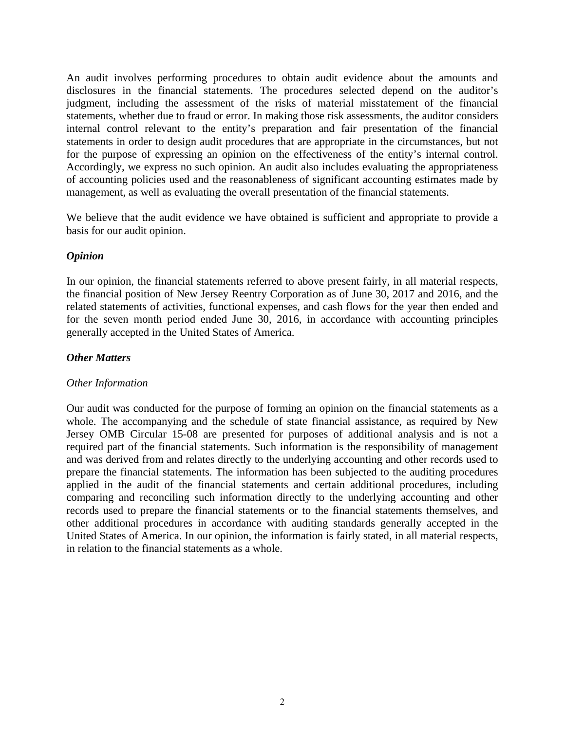An audit involves performing procedures to obtain audit evidence about the amounts and disclosures in the financial statements. The procedures selected depend on the auditor's judgment, including the assessment of the risks of material misstatement of the financial statements, whether due to fraud or error. In making those risk assessments, the auditor considers internal control relevant to the entity's preparation and fair presentation of the financial statements in order to design audit procedures that are appropriate in the circumstances, but not for the purpose of expressing an opinion on the effectiveness of the entity's internal control. Accordingly, we express no such opinion. An audit also includes evaluating the appropriateness of accounting policies used and the reasonableness of significant accounting estimates made by management, as well as evaluating the overall presentation of the financial statements.

We believe that the audit evidence we have obtained is sufficient and appropriate to provide a basis for our audit opinion.

### *Opinion*

In our opinion, the financial statements referred to above present fairly, in all material respects, the financial position of New Jersey Reentry Corporation as of June 30, 2017 and 2016, and the related statements of activities, functional expenses, and cash flows for the year then ended and for the seven month period ended June 30, 2016, in accordance with accounting principles generally accepted in the United States of America.

### *Other Matters*

### *Other Information*

Our audit was conducted for the purpose of forming an opinion on the financial statements as a whole. The accompanying and the schedule of state financial assistance, as required by New Jersey OMB Circular 15-08 are presented for purposes of additional analysis and is not a required part of the financial statements. Such information is the responsibility of management and was derived from and relates directly to the underlying accounting and other records used to prepare the financial statements. The information has been subjected to the auditing procedures applied in the audit of the financial statements and certain additional procedures, including comparing and reconciling such information directly to the underlying accounting and other records used to prepare the financial statements or to the financial statements themselves, and other additional procedures in accordance with auditing standards generally accepted in the United States of America. In our opinion, the information is fairly stated, in all material respects, in relation to the financial statements as a whole.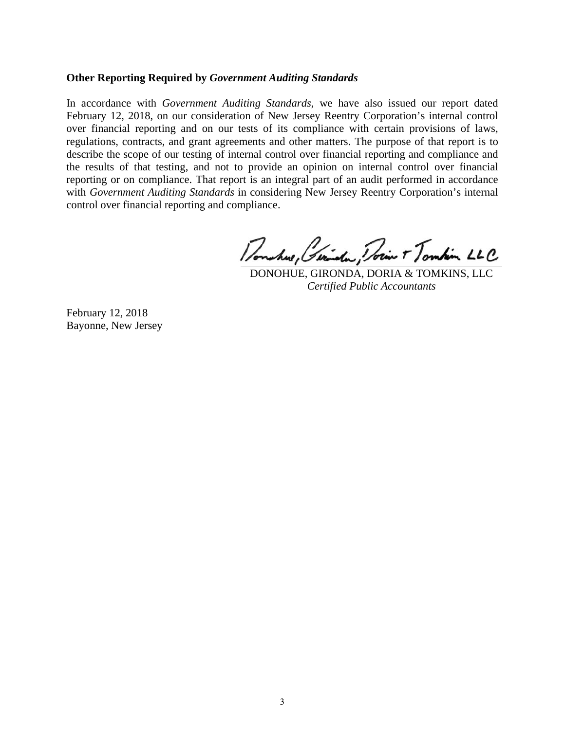### **Other Reporting Required by** *Government Auditing Standards*

In accordance with *Government Auditing Standards*, we have also issued our report dated February 12, 2018, on our consideration of New Jersey Reentry Corporation's internal control over financial reporting and on our tests of its compliance with certain provisions of laws, regulations, contracts, and grant agreements and other matters. The purpose of that report is to describe the scope of our testing of internal control over financial reporting and compliance and the results of that testing, and not to provide an opinion on internal control over financial reporting or on compliance. That report is an integral part of an audit performed in accordance with *Government Auditing Standards* in considering New Jersey Reentry Corporation's internal control over financial reporting and compliance.

in T Tombin LLC

DONOHUE, GIRONDA, DORIA & TOMKINS, LLC *Certified Public Accountants* 

February 12, 2018 Bayonne, New Jersey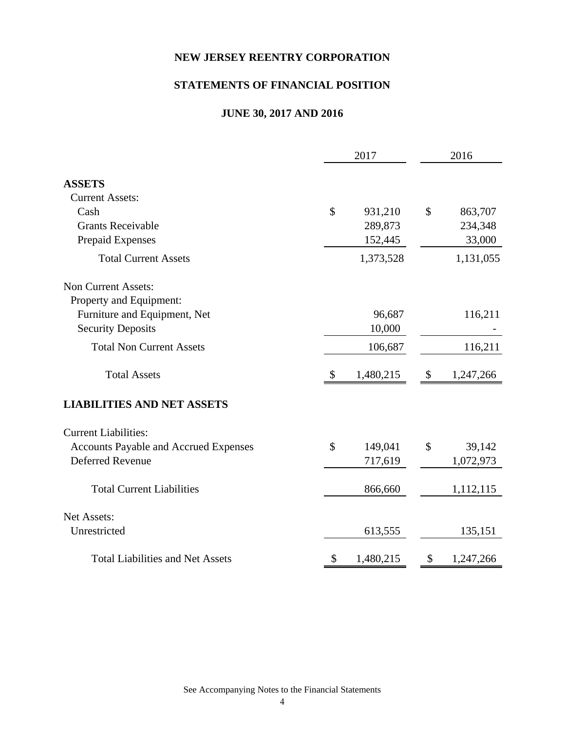### **NEW JERSEY REENTRY CORPORATION**

### **STATEMENTS OF FINANCIAL POSITION**

### **JUNE 30, 2017 AND 2016**

|                                              | 2017            |                           | 2016      |
|----------------------------------------------|-----------------|---------------------------|-----------|
| <b>ASSETS</b>                                |                 |                           |           |
| <b>Current Assets:</b>                       |                 |                           |           |
| Cash                                         | \$<br>931,210   | \$                        | 863,707   |
| <b>Grants Receivable</b>                     | 289,873         |                           | 234,348   |
| <b>Prepaid Expenses</b>                      | 152,445         |                           | 33,000    |
| <b>Total Current Assets</b>                  | 1,373,528       |                           | 1,131,055 |
| <b>Non Current Assets:</b>                   |                 |                           |           |
| Property and Equipment:                      |                 |                           |           |
| Furniture and Equipment, Net                 | 96,687          |                           | 116,211   |
| <b>Security Deposits</b>                     | 10,000          |                           |           |
| <b>Total Non Current Assets</b>              | 106,687         |                           | 116,211   |
| <b>Total Assets</b>                          | 1,480,215       | $\boldsymbol{\mathsf{S}}$ | 1,247,266 |
| <b>LIABILITIES AND NET ASSETS</b>            |                 |                           |           |
| <b>Current Liabilities:</b>                  |                 |                           |           |
| <b>Accounts Payable and Accrued Expenses</b> | \$<br>149,041   | \$                        | 39,142    |
| <b>Deferred Revenue</b>                      | 717,619         |                           | 1,072,973 |
| <b>Total Current Liabilities</b>             | 866,660         |                           | 1,112,115 |
| Net Assets:                                  |                 |                           |           |
| Unrestricted                                 | 613,555         |                           | 135,151   |
| <b>Total Liabilities and Net Assets</b>      | \$<br>1,480,215 | \$                        | 1,247,266 |

See Accompanying Notes to the Financial Statements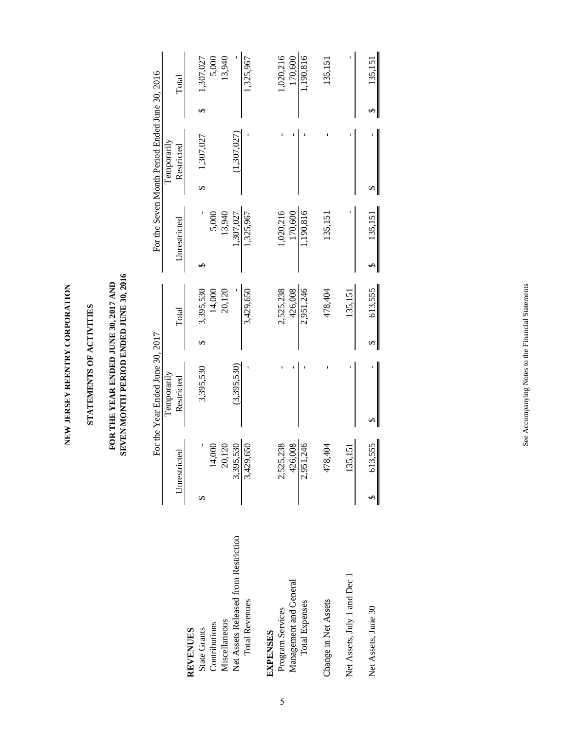NEW JERSEY REENTRY CORPORATION **NEW JERSEY REENTRY CORPORATION**

## STATEMENTS OF ACTIVITIES **STATEMENTS OF ACTIVITIES**

## FOR THE YEAR ENDED JUNE 30, 2017 AND SEVEN MONTH PERIOD ENDED JUNE 30, 2016 **SEVEN MONTH PERIOD ENDED JUNE 30, 2016 FOR THE YEAR ENDED JUNE 30, 2017 AND**

|                                      |                    | For the Year Ended June 30, 2017 |           |              | For the Seven Month Period Ended June 30, 2016 |           |
|--------------------------------------|--------------------|----------------------------------|-----------|--------------|------------------------------------------------|-----------|
|                                      |                    | Temporarily                      |           |              | Temporarily                                    |           |
|                                      | Unrestricted       | Restricted                       | Total     | Unrestricted | Restricted                                     | Total     |
| <b>REVENUES</b>                      |                    |                                  |           |              |                                                |           |
| <b>State Grants</b>                  |                    | 3,395,530                        | 3,395,530 |              | 1,307,027                                      | 1,307,027 |
| Contributions                        | 14,000             |                                  | 14,000    | 5,000        |                                                | 5,000     |
| Miscellaneous                        | 20,120             |                                  | 20,120    | 13,940       |                                                | 13,940    |
| Net Assets Released from Restriction | ,530<br>3,395      | (3,395,530)                      |           | .307,027     | (1,307,027)                                    |           |
| <b>Total Revenues</b>                | 3,429,650          |                                  | 3,429,650 | 1,325,967    |                                                | 1,325,967 |
| <b>EXPENSES</b>                      |                    |                                  |           |              |                                                |           |
| Program Services                     | 5,238<br>2,525     |                                  | 2,525,238 | ,020,216     |                                                | 1,020,216 |
| Management and General               | 426,008            |                                  | 426,008   | 170,600      |                                                | 170,600   |
| <b>Total Expenses</b>                | 1,246<br>2,951     |                                  | 2,951,246 | 190,816      |                                                | 1,190,816 |
| Change in Net Assets                 | 404<br>478         |                                  | 478,404   | 135,151      |                                                | 135,151   |
| Net Assets, July 1 and Dec 1         | <b>.151</b><br>135 |                                  | 135,151   |              |                                                |           |
| Net Assets, June 30                  | 613,555            |                                  | 613,555   | 135,151      |                                                | 135,151   |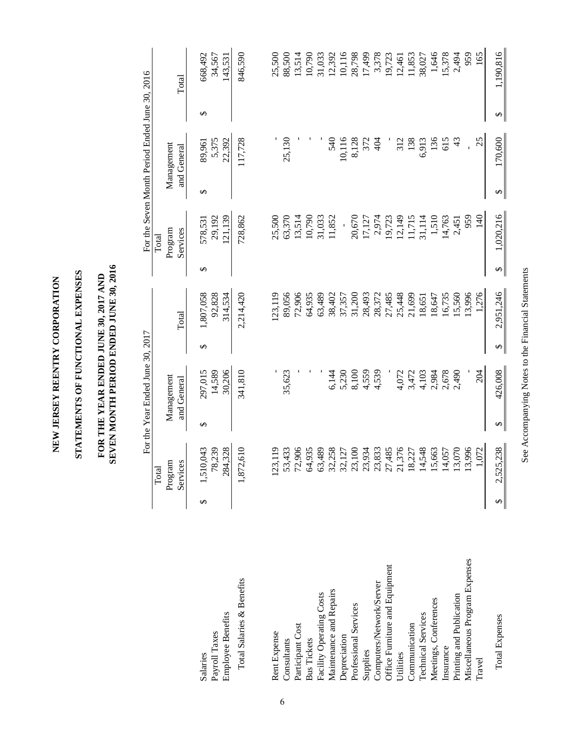NEW JERSEY REENTRY CORPORATION **NEW JERSEY REENTRY CORPORATION**

# STATEMENTS OF FUNCTIONAL EXPENSES **STATEMENTS OF FUNCTIONAL EXPENSES**

## FOR THE YEAR ENDED JUNE 30, 2017 AND SEVEN MONTH PERIOD ENDED JUNE 30, 2016 **SEVEN MONTH PERIOD ENDED JUNE 30, 2016 FOR THE YEAR ENDED JUNE 30, 2017 AND**

|                                |   |                                                          |   | For the Year Ended June 30, 2017 |   |           |                        |                              |          | For the Seven Month Period Ended June 30, 2016 |   |           |
|--------------------------------|---|----------------------------------------------------------|---|----------------------------------|---|-----------|------------------------|------------------------------|----------|------------------------------------------------|---|-----------|
|                                |   | Program<br>Services<br>Total                             |   | Management<br>and General        |   | Total     |                        | Services<br>Program<br>Total |          | Management<br>and General                      |   | Total     |
|                                |   |                                                          |   |                                  |   |           |                        |                              |          |                                                |   |           |
| Salaries                       | ↮ | 1,510,043                                                | ↔ | 297,015                          | ↮ | 1,807,058 | $\Theta$               | 578,531                      | $\Theta$ | 89,961                                         | ↮ | 668,492   |
| Payroll Taxes                  |   | 78,239                                                   |   | 14,589                           |   | 92,828    |                        | 29,192                       |          | 5,375                                          |   | 34,567    |
| <b>Employee Benefits</b>       |   | 284,328                                                  |   | 30,206                           |   | 314,534   |                        | 21,139                       |          | 22,392                                         |   | 143,531   |
| Total Salaries & Benefits      |   | 1,872,610                                                |   | 341,810                          |   | 2,214,420 |                        | 728,862                      |          | 117,728                                        |   | 846,590   |
|                                |   |                                                          |   |                                  |   |           |                        |                              |          |                                                |   |           |
| Rent Expense                   |   | [23, 119]                                                |   |                                  |   | 23,119    |                        | 25,500                       |          |                                                |   | 25,500    |
| Consultants                    |   |                                                          |   | 35,623                           |   | 89,056    |                        | 63,370                       |          | 25,130                                         |   | 88,500    |
| Participant Cost               |   | 53,433<br>72,906<br>64,935                               |   |                                  |   | 72,906    |                        | 13,514                       |          |                                                |   | 13,514    |
| <b>Bus Tickets</b>             |   |                                                          |   |                                  |   | 64,935    |                        | 10,790                       |          |                                                |   | 10,790    |
| Facility Operating Costs       |   | 63,489                                                   |   |                                  |   | 63,489    |                        | 31,033                       |          |                                                |   | 31,033    |
| Maintenance and Repairs        |   | 32,258<br>32,127<br>32,100<br>32,353<br>32,376<br>21,376 |   | 6,144                            |   | 38,402    |                        | 11,852                       |          | 540                                            |   | 12,392    |
| Depreciation                   |   |                                                          |   | 5,230                            |   | 37,357    |                        | $\overline{1}$               |          | 10,116                                         |   | 10,116    |
| Professional Services          |   |                                                          |   | 8,100                            |   | 31,200    |                        | 20,670                       |          |                                                |   | 28,798    |
| Supplies                       |   |                                                          |   | 4,559                            |   | 28,493    |                        | 17,127                       |          | 8,128                                          |   | 17,499    |
| Computers/Network/Server       |   |                                                          |   | 4,539                            |   | 28,372    |                        | 2,974<br>19,723              |          | 404                                            |   | 3,378     |
| Office Furniture and Equipment |   |                                                          |   |                                  |   | 27,485    |                        |                              |          |                                                |   | 19,723    |
| Utilities                      |   |                                                          |   | 4,072                            |   | 25,448    |                        | 12,149                       |          | 312                                            |   | 12,461    |
| Communication                  |   | 18,227                                                   |   | 3,472                            |   | 21,699    |                        | 11,715                       |          | 138                                            |   | 11,853    |
| <b>Technical Services</b>      |   | 14,548                                                   |   | 4,103                            |   | 18,651    |                        | 31,114                       |          | 6,913                                          |   | 38,027    |
| Meetings, Conferences          |   | 15,663                                                   |   | 2,984                            |   | 18,647    |                        | 1,510                        |          | 136                                            |   | 1,646     |
| Insurance                      |   | 14,057                                                   |   | 2,678                            |   | 16,735    |                        | 14,763                       |          | 615                                            |   | 15,378    |
| Printing and Publication       |   | 13,070                                                   |   | 2,490                            |   | 15,560    |                        | 2,451                        |          | 43                                             |   | 2,494     |
| Miscellaneous Program Expenses |   | 13,996                                                   |   |                                  |   | 13,996    |                        | 959                          |          |                                                |   | 959       |
| Travel                         |   | 1,072                                                    |   | 204                              |   | 1,276     |                        | 140                          |          | 25                                             |   | 165       |
| <b>Total Expenses</b>          |   | 2,525,238                                                | Ø | 426,008                          | ↮ | 2,951,246 | $\boldsymbol{\varphi}$ | 1,020,216                    | Ø        | 170,600                                        | ↮ | 1,190,816 |

See Accompanying Notes to the Financial Statements See Accompanying Notes to the Financial Statements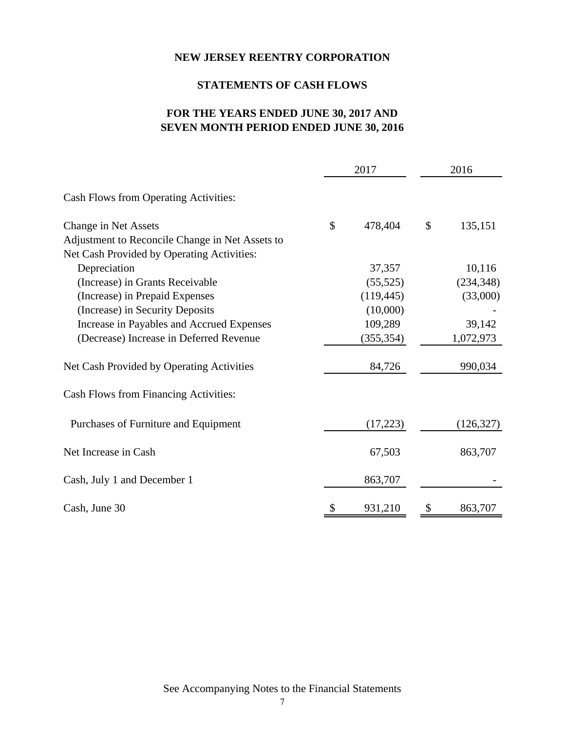### **NEW JERSEY REENTRY CORPORATION**

### **STATEMENTS OF CASH FLOWS**

### **FOR THE YEARS ENDED JUNE 30, 2017 AND SEVEN MONTH PERIOD ENDED JUNE 30, 2016**

|                                                 | 2017          | 2016          |
|-------------------------------------------------|---------------|---------------|
| Cash Flows from Operating Activities:           |               |               |
| Change in Net Assets                            | \$<br>478,404 | \$<br>135,151 |
| Adjustment to Reconcile Change in Net Assets to |               |               |
| Net Cash Provided by Operating Activities:      |               |               |
| Depreciation                                    | 37,357        | 10,116        |
| (Increase) in Grants Receivable                 | (55, 525)     | (234, 348)    |
| (Increase) in Prepaid Expenses                  | (119, 445)    | (33,000)      |
| (Increase) in Security Deposits                 | (10,000)      |               |
| Increase in Payables and Accrued Expenses       | 109,289       | 39,142        |
| (Decrease) Increase in Deferred Revenue         | (355, 354)    | 1,072,973     |
| Net Cash Provided by Operating Activities       | 84,726        | 990,034       |
| Cash Flows from Financing Activities:           |               |               |
| Purchases of Furniture and Equipment            | (17,223)      | (126, 327)    |
| Net Increase in Cash                            | 67,503        | 863,707       |
| Cash, July 1 and December 1                     | 863,707       |               |
| Cash, June 30                                   | \$<br>931,210 | \$<br>863,707 |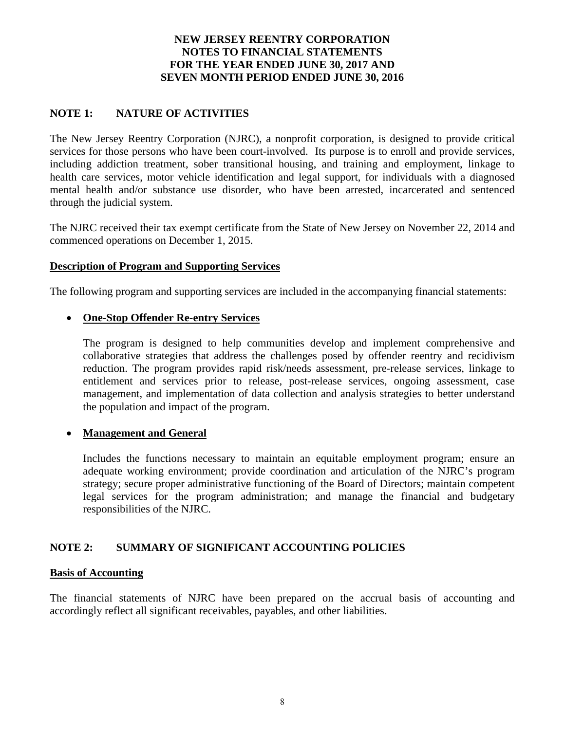### **NOTE 1: NATURE OF ACTIVITIES**

The New Jersey Reentry Corporation (NJRC), a nonprofit corporation, is designed to provide critical services for those persons who have been court-involved. Its purpose is to enroll and provide services, including addiction treatment, sober transitional housing, and training and employment, linkage to health care services, motor vehicle identification and legal support, for individuals with a diagnosed mental health and/or substance use disorder, who have been arrested, incarcerated and sentenced through the judicial system.

The NJRC received their tax exempt certificate from the State of New Jersey on November 22, 2014 and commenced operations on December 1, 2015.

### **Description of Program and Supporting Services**

The following program and supporting services are included in the accompanying financial statements:

### **One-Stop Offender Re-entry Services**

The program is designed to help communities develop and implement comprehensive and collaborative strategies that address the challenges posed by offender reentry and recidivism reduction. The program provides rapid risk/needs assessment, pre-release services, linkage to entitlement and services prior to release, post-release services, ongoing assessment, case management, and implementation of data collection and analysis strategies to better understand the population and impact of the program.

### **Management and General**

Includes the functions necessary to maintain an equitable employment program; ensure an adequate working environment; provide coordination and articulation of the NJRC's program strategy; secure proper administrative functioning of the Board of Directors; maintain competent legal services for the program administration; and manage the financial and budgetary responsibilities of the NJRC.

### **NOTE 2: SUMMARY OF SIGNIFICANT ACCOUNTING POLICIES**

### **Basis of Accounting**

The financial statements of NJRC have been prepared on the accrual basis of accounting and accordingly reflect all significant receivables, payables, and other liabilities.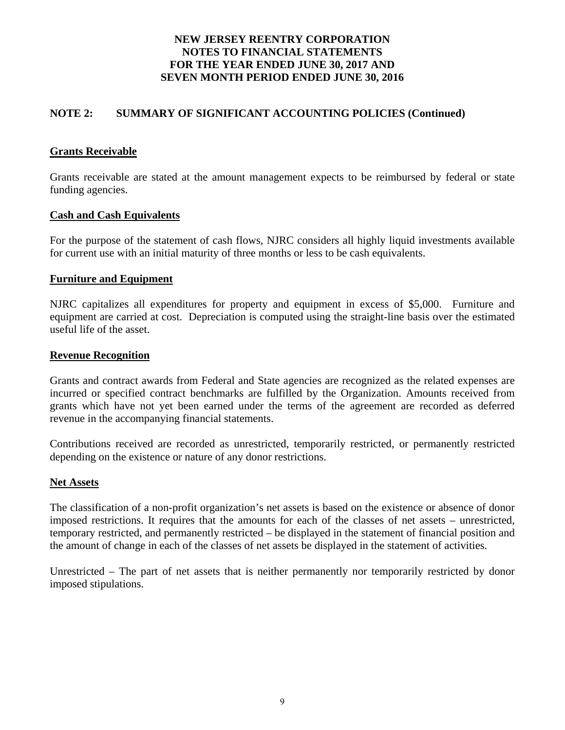### **NOTE 2: SUMMARY OF SIGNIFICANT ACCOUNTING POLICIES (Continued)**

### **Grants Receivable**

Grants receivable are stated at the amount management expects to be reimbursed by federal or state funding agencies.

### **Cash and Cash Equivalents**

For the purpose of the statement of cash flows, NJRC considers all highly liquid investments available for current use with an initial maturity of three months or less to be cash equivalents.

### **Furniture and Equipment**

NJRC capitalizes all expenditures for property and equipment in excess of \$5,000. Furniture and equipment are carried at cost. Depreciation is computed using the straight-line basis over the estimated useful life of the asset.

### **Revenue Recognition**

Grants and contract awards from Federal and State agencies are recognized as the related expenses are incurred or specified contract benchmarks are fulfilled by the Organization. Amounts received from grants which have not yet been earned under the terms of the agreement are recorded as deferred revenue in the accompanying financial statements.

Contributions received are recorded as unrestricted, temporarily restricted, or permanently restricted depending on the existence or nature of any donor restrictions.

### **Net Assets**

The classification of a non-profit organization's net assets is based on the existence or absence of donor imposed restrictions. It requires that the amounts for each of the classes of net assets – unrestricted, temporary restricted, and permanently restricted – be displayed in the statement of financial position and the amount of change in each of the classes of net assets be displayed in the statement of activities.

Unrestricted – The part of net assets that is neither permanently nor temporarily restricted by donor imposed stipulations.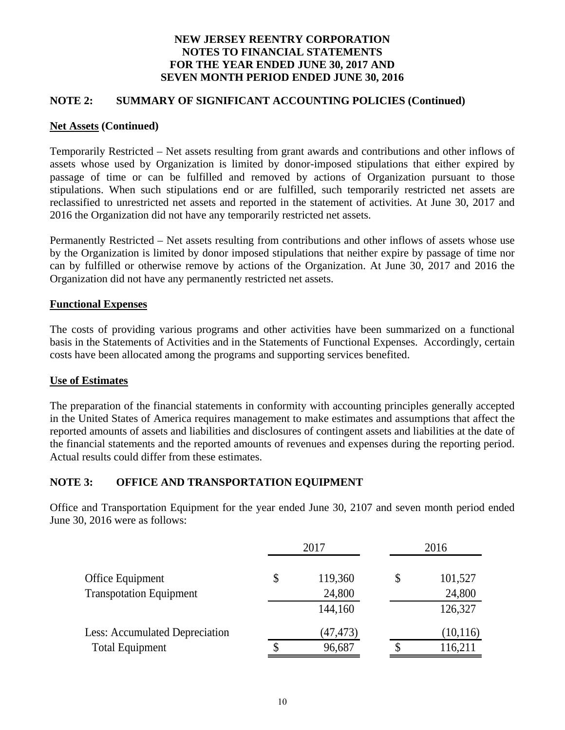### **NOTE 2: SUMMARY OF SIGNIFICANT ACCOUNTING POLICIES (Continued)**

### **Net Assets (Continued)**

Temporarily Restricted – Net assets resulting from grant awards and contributions and other inflows of assets whose used by Organization is limited by donor-imposed stipulations that either expired by passage of time or can be fulfilled and removed by actions of Organization pursuant to those stipulations. When such stipulations end or are fulfilled, such temporarily restricted net assets are reclassified to unrestricted net assets and reported in the statement of activities. At June 30, 2017 and 2016 the Organization did not have any temporarily restricted net assets.

Permanently Restricted – Net assets resulting from contributions and other inflows of assets whose use by the Organization is limited by donor imposed stipulations that neither expire by passage of time nor can by fulfilled or otherwise remove by actions of the Organization. At June 30, 2017 and 2016 the Organization did not have any permanently restricted net assets.

### **Functional Expenses**

The costs of providing various programs and other activities have been summarized on a functional basis in the Statements of Activities and in the Statements of Functional Expenses. Accordingly, certain costs have been allocated among the programs and supporting services benefited.

### **Use of Estimates**

The preparation of the financial statements in conformity with accounting principles generally accepted in the United States of America requires management to make estimates and assumptions that affect the reported amounts of assets and liabilities and disclosures of contingent assets and liabilities at the date of the financial statements and the reported amounts of revenues and expenses during the reporting period. Actual results could differ from these estimates.

### **NOTE 3: OFFICE AND TRANSPORTATION EQUIPMENT**

Office and Transportation Equipment for the year ended June 30, 2107 and seven month period ended June 30, 2016 were as follows:

|                                       | 2017          | 2016          |
|---------------------------------------|---------------|---------------|
| Office Equipment                      | \$<br>119,360 | \$<br>101,527 |
| <b>Transpotation Equipment</b>        | 24,800        | 24,800        |
|                                       | 144,160       | 126,327       |
| <b>Less: Accumulated Depreciation</b> | (47, 473)     | (10, 116)     |
| <b>Total Equipment</b>                | 96,687        | \$<br>116,211 |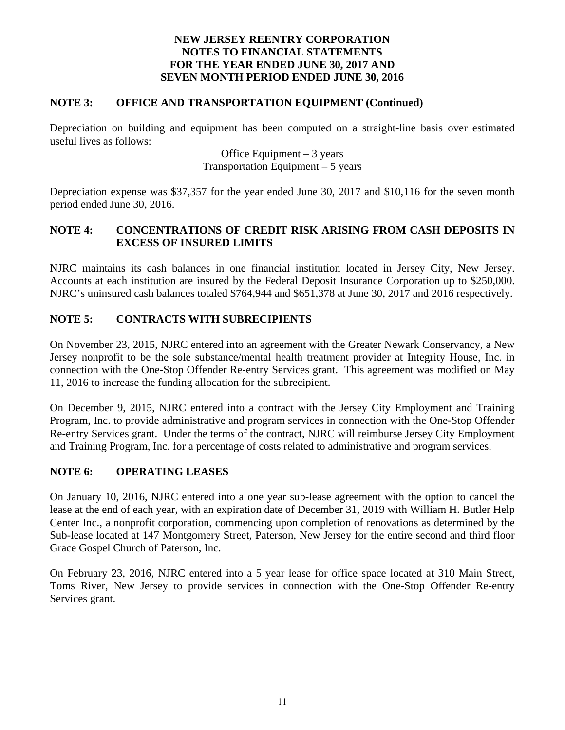### **NOTE 3: OFFICE AND TRANSPORTATION EQUIPMENT (Continued)**

Depreciation on building and equipment has been computed on a straight-line basis over estimated useful lives as follows:

### Office Equipment  $-3$  years Transportation Equipment  $-5$  years

Depreciation expense was \$37,357 for the year ended June 30, 2017 and \$10,116 for the seven month period ended June 30, 2016.

### **NOTE 4: CONCENTRATIONS OF CREDIT RISK ARISING FROM CASH DEPOSITS IN EXCESS OF INSURED LIMITS**

NJRC maintains its cash balances in one financial institution located in Jersey City, New Jersey. Accounts at each institution are insured by the Federal Deposit Insurance Corporation up to \$250,000. NJRC's uninsured cash balances totaled \$764,944 and \$651,378 at June 30, 2017 and 2016 respectively.

### **NOTE 5: CONTRACTS WITH SUBRECIPIENTS**

On November 23, 2015, NJRC entered into an agreement with the Greater Newark Conservancy, a New Jersey nonprofit to be the sole substance/mental health treatment provider at Integrity House, Inc. in connection with the One-Stop Offender Re-entry Services grant. This agreement was modified on May 11, 2016 to increase the funding allocation for the subrecipient.

On December 9, 2015, NJRC entered into a contract with the Jersey City Employment and Training Program, Inc. to provide administrative and program services in connection with the One-Stop Offender Re-entry Services grant. Under the terms of the contract, NJRC will reimburse Jersey City Employment and Training Program, Inc. for a percentage of costs related to administrative and program services.

### **NOTE 6: OPERATING LEASES**

On January 10, 2016, NJRC entered into a one year sub-lease agreement with the option to cancel the lease at the end of each year, with an expiration date of December 31, 2019 with William H. Butler Help Center Inc., a nonprofit corporation, commencing upon completion of renovations as determined by the Sub-lease located at 147 Montgomery Street, Paterson, New Jersey for the entire second and third floor Grace Gospel Church of Paterson, Inc.

On February 23, 2016, NJRC entered into a 5 year lease for office space located at 310 Main Street, Toms River, New Jersey to provide services in connection with the One-Stop Offender Re-entry Services grant.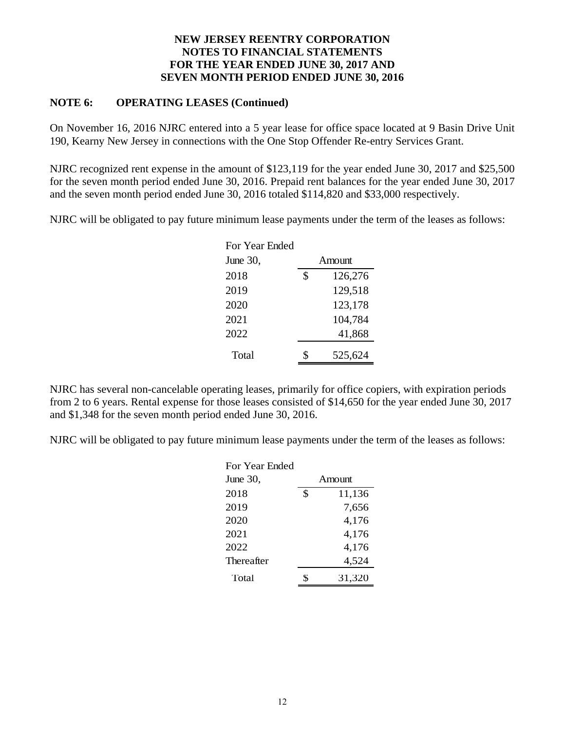### **NOTE 6: OPERATING LEASES (Continued)**

On November 16, 2016 NJRC entered into a 5 year lease for office space located at 9 Basin Drive Unit 190, Kearny New Jersey in connections with the One Stop Offender Re-entry Services Grant.

NJRC recognized rent expense in the amount of \$123,119 for the year ended June 30, 2017 and \$25,500 for the seven month period ended June 30, 2016. Prepaid rent balances for the year ended June 30, 2017 and the seven month period ended June 30, 2016 totaled \$114,820 and \$33,000 respectively.

NJRC will be obligated to pay future minimum lease payments under the term of the leases as follows:

| For Year Ended |               |
|----------------|---------------|
| June 30,       | Amount        |
| 2018           | \$<br>126,276 |
| 2019           | 129,518       |
| 2020           | 123,178       |
| 2021           | 104,784       |
| 2022           | 41,868        |
| Total          | 525,624       |

NJRC has several non-cancelable operating leases, primarily for office copiers, with expiration periods from 2 to 6 years. Rental expense for those leases consisted of \$14,650 for the year ended June 30, 2017 and \$1,348 for the seven month period ended June 30, 2016.

NJRC will be obligated to pay future minimum lease payments under the term of the leases as follows:

| For Year Ended |              |
|----------------|--------------|
| June 30,       | Amount       |
| 2018           | \$<br>11,136 |
| 2019           | 7,656        |
| 2020           | 4,176        |
| 2021           | 4,176        |
| 2022           | 4,176        |
| Thereafter     | 4,524        |
| Total          | 31,320       |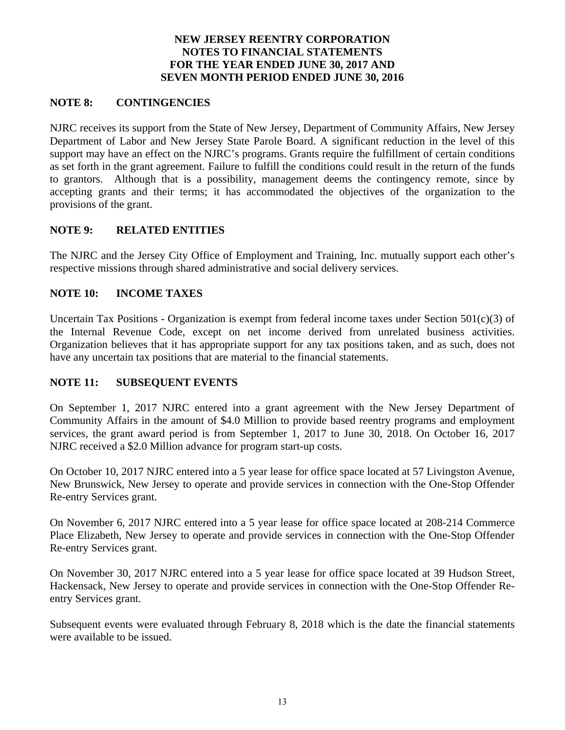### **NOTE 8: CONTINGENCIES**

NJRC receives its support from the State of New Jersey, Department of Community Affairs, New Jersey Department of Labor and New Jersey State Parole Board. A significant reduction in the level of this support may have an effect on the NJRC's programs. Grants require the fulfillment of certain conditions as set forth in the grant agreement. Failure to fulfill the conditions could result in the return of the funds to grantors. Although that is a possibility, management deems the contingency remote, since by accepting grants and their terms; it has accommodated the objectives of the organization to the provisions of the grant.

### **NOTE 9: RELATED ENTITIES**

The NJRC and the Jersey City Office of Employment and Training, Inc. mutually support each other's respective missions through shared administrative and social delivery services.

### **NOTE 10: INCOME TAXES**

Uncertain Tax Positions - Organization is exempt from federal income taxes under Section 501(c)(3) of the Internal Revenue Code, except on net income derived from unrelated business activities. Organization believes that it has appropriate support for any tax positions taken, and as such, does not have any uncertain tax positions that are material to the financial statements.

### **NOTE 11: SUBSEQUENT EVENTS**

On September 1, 2017 NJRC entered into a grant agreement with the New Jersey Department of Community Affairs in the amount of \$4.0 Million to provide based reentry programs and employment services, the grant award period is from September 1, 2017 to June 30, 2018. On October 16, 2017 NJRC received a \$2.0 Million advance for program start-up costs.

On October 10, 2017 NJRC entered into a 5 year lease for office space located at 57 Livingston Avenue, New Brunswick, New Jersey to operate and provide services in connection with the One-Stop Offender Re-entry Services grant.

On November 6, 2017 NJRC entered into a 5 year lease for office space located at 208-214 Commerce Place Elizabeth, New Jersey to operate and provide services in connection with the One-Stop Offender Re-entry Services grant.

On November 30, 2017 NJRC entered into a 5 year lease for office space located at 39 Hudson Street, Hackensack, New Jersey to operate and provide services in connection with the One-Stop Offender Reentry Services grant.

Subsequent events were evaluated through February 8, 2018 which is the date the financial statements were available to be issued.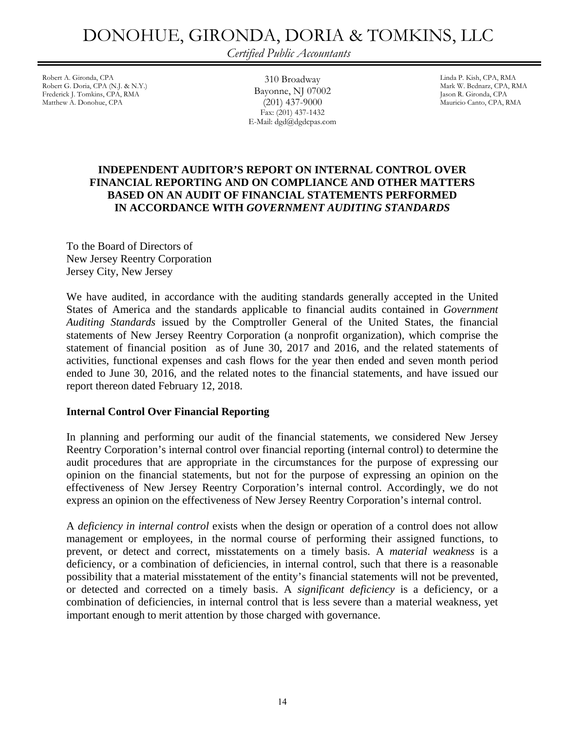### DONOHUE, GIRONDA, DORIA & TOMKINS, LLC

*Certified Public Accountants* 

Robert A. Gironda, CPA (N.J. & N.Y.) <br>
Robert G. Doria, CPA (N.J. & N.Y.) <br>
Robert G. Doria, CPA (N.J. & N.Y.) <br>
Robert G. Doria, CPA (N.J. & N.Y.) <br>
Robert G. Doria, CPA (N.J. & N.Y.) Robert G. Doria, CPA (N.J. & N.Y.) Frederick J. Tomkins, CPA, RMA **DayOHIE, NJ 07002** Jason R. Gironda, CPA<br>Matthew A. Donohue, CPA Jason R. Gironda, CPA (201) 437-9000 Jason R. Gironda, CPA, R

310 Broadway Bayonne, NJ 07002 (201) 437-9000 Fax: (201) 437-1432 E-Mail: dgd@dgdcpas.com Mauricio Canto, CPA, RMA

### **INDEPENDENT AUDITOR'S REPORT ON INTERNAL CONTROL OVER FINANCIAL REPORTING AND ON COMPLIANCE AND OTHER MATTERS BASED ON AN AUDIT OF FINANCIAL STATEMENTS PERFORMED IN ACCORDANCE WITH** *GOVERNMENT AUDITING STANDARDS*

To the Board of Directors of New Jersey Reentry Corporation Jersey City, New Jersey

We have audited, in accordance with the auditing standards generally accepted in the United States of America and the standards applicable to financial audits contained in *Government Auditing Standards* issued by the Comptroller General of the United States, the financial statements of New Jersey Reentry Corporation (a nonprofit organization), which comprise the statement of financial position as of June 30, 2017 and 2016, and the related statements of activities, functional expenses and cash flows for the year then ended and seven month period ended to June 30, 2016, and the related notes to the financial statements, and have issued our report thereon dated February 12, 2018.

### **Internal Control Over Financial Reporting**

In planning and performing our audit of the financial statements, we considered New Jersey Reentry Corporation's internal control over financial reporting (internal control) to determine the audit procedures that are appropriate in the circumstances for the purpose of expressing our opinion on the financial statements, but not for the purpose of expressing an opinion on the effectiveness of New Jersey Reentry Corporation's internal control. Accordingly, we do not express an opinion on the effectiveness of New Jersey Reentry Corporation's internal control.

A *deficiency in internal control* exists when the design or operation of a control does not allow management or employees, in the normal course of performing their assigned functions, to prevent, or detect and correct, misstatements on a timely basis. A *material weakness* is a deficiency, or a combination of deficiencies, in internal control, such that there is a reasonable possibility that a material misstatement of the entity's financial statements will not be prevented, or detected and corrected on a timely basis. A *significant deficiency* is a deficiency, or a combination of deficiencies, in internal control that is less severe than a material weakness, yet important enough to merit attention by those charged with governance.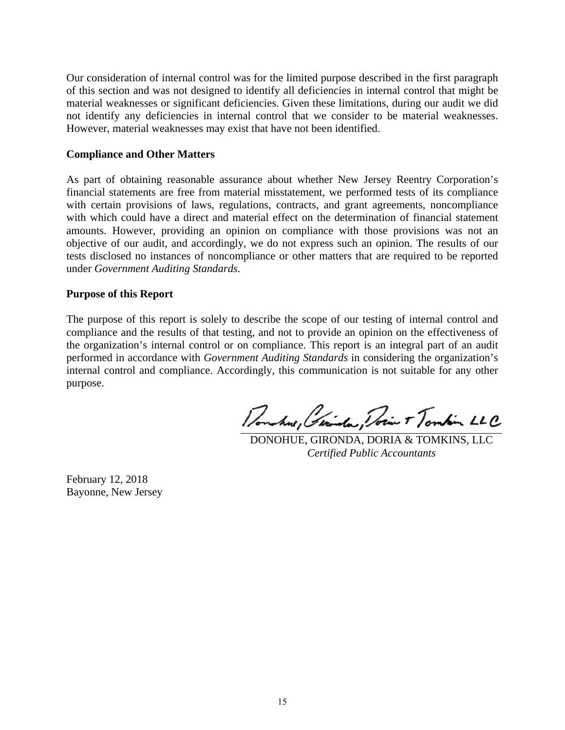Our consideration of internal control was for the limited purpose described in the first paragraph of this section and was not designed to identify all deficiencies in internal control that might be material weaknesses or significant deficiencies. Given these limitations, during our audit we did not identify any deficiencies in internal control that we consider to be material weaknesses. However, material weaknesses may exist that have not been identified.

### **Compliance and Other Matters**

As part of obtaining reasonable assurance about whether New Jersey Reentry Corporation's financial statements are free from material misstatement, we performed tests of its compliance with certain provisions of laws, regulations, contracts, and grant agreements, noncompliance with which could have a direct and material effect on the determination of financial statement amounts. However, providing an opinion on compliance with those provisions was not an objective of our audit, and accordingly, we do not express such an opinion. The results of our tests disclosed no instances of noncompliance or other matters that are required to be reported under *Government Auditing Standards*.

### **Purpose of this Report**

The purpose of this report is solely to describe the scope of our testing of internal control and compliance and the results of that testing, and not to provide an opinion on the effectiveness of the organization's internal control or on compliance. This report is an integral part of an audit performed in accordance with *Government Auditing Standards* in considering the organization's internal control and compliance. Accordingly, this communication is not suitable for any other purpose.

Donature, Gerinda, Docin Tombin LLC

 DONOHUE, GIRONDA, DORIA & TOMKINS, LLC *Certified Public Accountants* 

February 12, 2018 Bayonne, New Jersey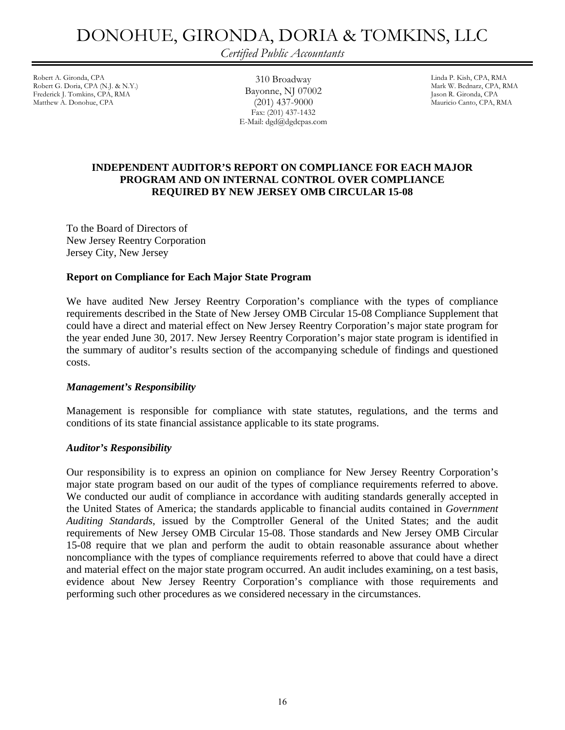### DONOHUE, GIRONDA, DORIA & TOMKINS, LLC

*Certified Public Accountants* 

Robert A. Gironda, CPA (N.J. & N.Y.) 310 Broadway 510 Broadway 510 Broadway 510 Broadway 510 Broadway 510 Broadway 511 All and P. Kish, CPA, RMA (N.J. & N.Y.) Robert G. Doria, CPA (N.J. & N.Y.) Frederick J. Tomkins, CPA, RMA **DayONINE, 1918** OTOUZ Jason R. Gironda, CPA<br>Matthew A. Donohue, CPA (2011) 437-9000 Mauricio Canto, CPA, R

310 Broadway Bayonne, NJ 07002 (201) 437-9000 Fax: (201) 437-1432 E-Mail: dgd@dgdcpas.com Mauricio Canto, CPA, RMA

### **INDEPENDENT AUDITOR'S REPORT ON COMPLIANCE FOR EACH MAJOR PROGRAM AND ON INTERNAL CONTROL OVER COMPLIANCE REQUIRED BY NEW JERSEY OMB CIRCULAR 15-08**

To the Board of Directors of New Jersey Reentry Corporation Jersey City, New Jersey

### **Report on Compliance for Each Major State Program**

We have audited New Jersey Reentry Corporation's compliance with the types of compliance requirements described in the State of New Jersey OMB Circular 15-08 Compliance Supplement that could have a direct and material effect on New Jersey Reentry Corporation's major state program for the year ended June 30, 2017. New Jersey Reentry Corporation's major state program is identified in the summary of auditor's results section of the accompanying schedule of findings and questioned costs.

### *Management's Responsibility*

Management is responsible for compliance with state statutes, regulations, and the terms and conditions of its state financial assistance applicable to its state programs.

### *Auditor's Responsibility*

Our responsibility is to express an opinion on compliance for New Jersey Reentry Corporation's major state program based on our audit of the types of compliance requirements referred to above. We conducted our audit of compliance in accordance with auditing standards generally accepted in the United States of America; the standards applicable to financial audits contained in *Government Auditing Standards*, issued by the Comptroller General of the United States; and the audit requirements of New Jersey OMB Circular 15-08. Those standards and New Jersey OMB Circular 15-08 require that we plan and perform the audit to obtain reasonable assurance about whether noncompliance with the types of compliance requirements referred to above that could have a direct and material effect on the major state program occurred. An audit includes examining, on a test basis, evidence about New Jersey Reentry Corporation's compliance with those requirements and performing such other procedures as we considered necessary in the circumstances.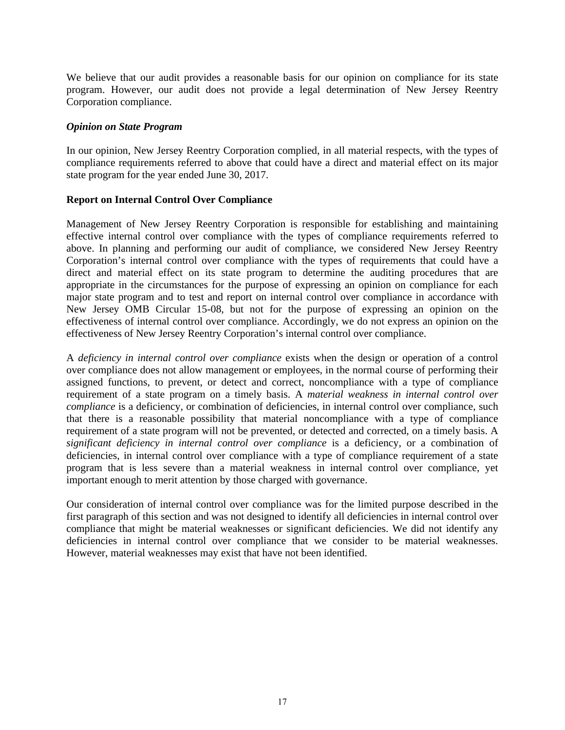We believe that our audit provides a reasonable basis for our opinion on compliance for its state program. However, our audit does not provide a legal determination of New Jersey Reentry Corporation compliance.

### *Opinion on State Program*

In our opinion, New Jersey Reentry Corporation complied, in all material respects, with the types of compliance requirements referred to above that could have a direct and material effect on its major state program for the year ended June 30, 2017.

### **Report on Internal Control Over Compliance**

Management of New Jersey Reentry Corporation is responsible for establishing and maintaining effective internal control over compliance with the types of compliance requirements referred to above. In planning and performing our audit of compliance, we considered New Jersey Reentry Corporation's internal control over compliance with the types of requirements that could have a direct and material effect on its state program to determine the auditing procedures that are appropriate in the circumstances for the purpose of expressing an opinion on compliance for each major state program and to test and report on internal control over compliance in accordance with New Jersey OMB Circular 15-08, but not for the purpose of expressing an opinion on the effectiveness of internal control over compliance. Accordingly, we do not express an opinion on the effectiveness of New Jersey Reentry Corporation's internal control over compliance.

A *deficiency in internal control over compliance* exists when the design or operation of a control over compliance does not allow management or employees, in the normal course of performing their assigned functions, to prevent, or detect and correct, noncompliance with a type of compliance requirement of a state program on a timely basis. A *material weakness in internal control over compliance* is a deficiency, or combination of deficiencies, in internal control over compliance, such that there is a reasonable possibility that material noncompliance with a type of compliance requirement of a state program will not be prevented, or detected and corrected, on a timely basis. A *significant deficiency in internal control over compliance* is a deficiency, or a combination of deficiencies, in internal control over compliance with a type of compliance requirement of a state program that is less severe than a material weakness in internal control over compliance, yet important enough to merit attention by those charged with governance.

Our consideration of internal control over compliance was for the limited purpose described in the first paragraph of this section and was not designed to identify all deficiencies in internal control over compliance that might be material weaknesses or significant deficiencies. We did not identify any deficiencies in internal control over compliance that we consider to be material weaknesses. However, material weaknesses may exist that have not been identified.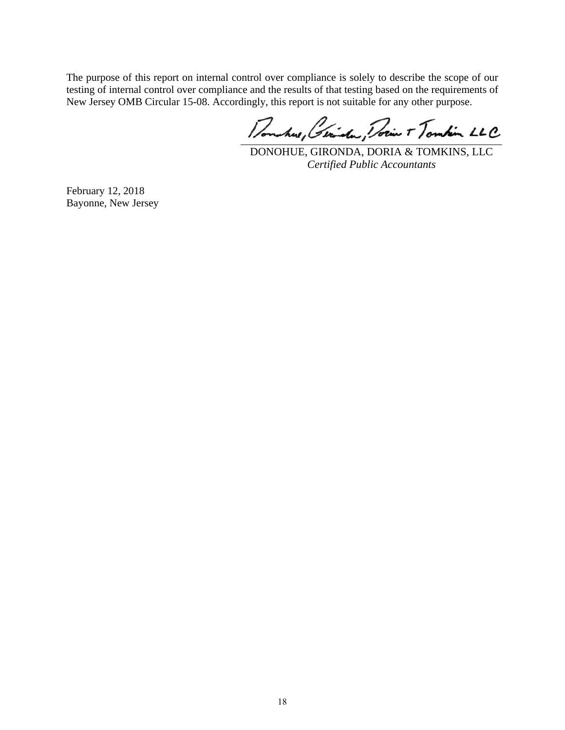The purpose of this report on internal control over compliance is solely to describe the scope of our testing of internal control over compliance and the results of that testing based on the requirements of New Jersey OMB Circular 15-08. Accordingly, this report is not suitable for any other purpose.

Donature, Gerinda, Docin Tombin LLC

DONOHUE, GIRONDA, DORIA & TOMKINS, LLC *Certified Public Accountants* 

February 12, 2018 Bayonne, New Jersey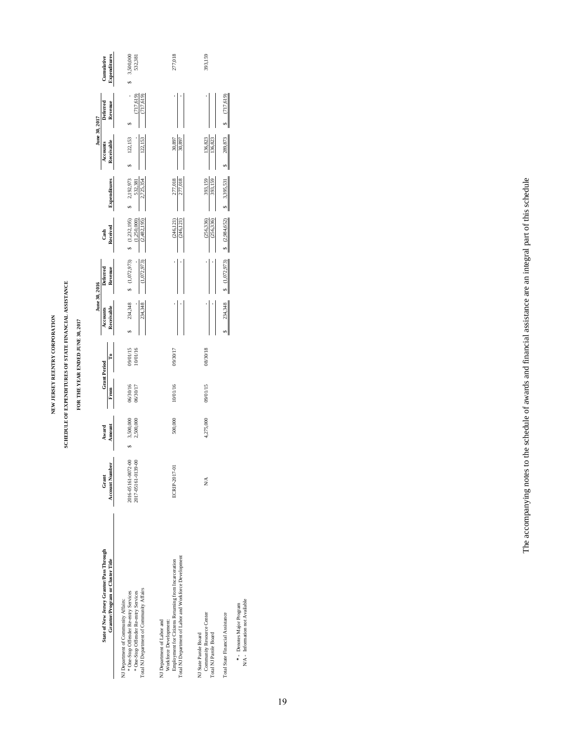### NEW JERSEY REENTRY CORPORATION **NEW JERSEY REENTRY CORPORATION**

# SCHEDULE OF EXPENDITURES OF STATE FINANCIAL ASSISTANCE **SCHEDULE OF EXPENDITURES OF STATE FINANCIAL ASSISTANCE**

### FOR THE YEAR ENDED JUNE 30, 2017 **FOR THE YEAR ENDED JUNE 30, 2017**

**June 30, 2016 June 30, 2017**

June 30, 2016

June 30, 2017

| State of New Jersey Grantor/Pass Through<br>Grantor/Program or Cluster Title                                                                                           | Account Number<br>Grant                  | Amount<br>Award        | <b>Grant Period</b><br>From | ů                    | Receivable<br>Accounts | Deferred<br>Revenue        | Received<br>Cash                            | Expenditures                      | Receivable<br>Accounts | Deferred<br>Revenue      | Expenditures<br>Cumulative |
|------------------------------------------------------------------------------------------------------------------------------------------------------------------------|------------------------------------------|------------------------|-----------------------------|----------------------|------------------------|----------------------------|---------------------------------------------|-----------------------------------|------------------------|--------------------------|----------------------------|
| Total NJ Department of Community Affairs<br>* One-Stop Offender Re-entry Services<br>* One-Stop Offender Re-entry Services<br>NJ Department of Community Affairs:      | 2016-05161-0072-00<br>2017-05161-0139-00 | 3,500,000<br>2,500,000 | 06/30/16<br>06/30/17        | 09/01/15<br>10/01/16 | 234,348<br>234,348     | (1,072,973)<br>(1,072,973) | \$(1,232,195)<br>(2,482,195)<br>(1,250,000) | 2,192,973<br>2,725,354<br>532,381 | 122,153<br>122,153     | (717, 619)<br>(717, 619) | 3,500,000<br>532,381       |
| Total NJ Department of Labor and Workforce Development<br>Employment for Citizens Returning from Incarceration<br>NJ Department of Labor and<br>Workforce Development: | ECRIP-2017-01                            | 500,000                | 10/01/16                    | 09/30/17             |                        |                            | (246, 121)<br>(246, 121)                    | 277,018<br>277,018                | 30,897<br>30,897       |                          | 277,018                    |
| Community Resource Center<br>NJ State Parole Board<br>Total NJ Parole Board                                                                                            | X                                        | 4,275,000              | 09/01/15                    | 08/30/18             |                        |                            | $(256, 336)$<br>$(256, 336)$                | 393,159<br>393,159                | 136,823<br>136,823     |                          | 393,159                    |
| Total State Financial Assistance                                                                                                                                       |                                          |                        |                             |                      | 234,348                | (1,072,973)                | (2,984,652)                                 | 3,395,531                         | 289,873                | (717, 619)               |                            |
| N/A - Information not Available<br>*- Denotes Major Program                                                                                                            |                                          |                        |                             |                      |                        |                            |                                             |                                   |                        |                          |                            |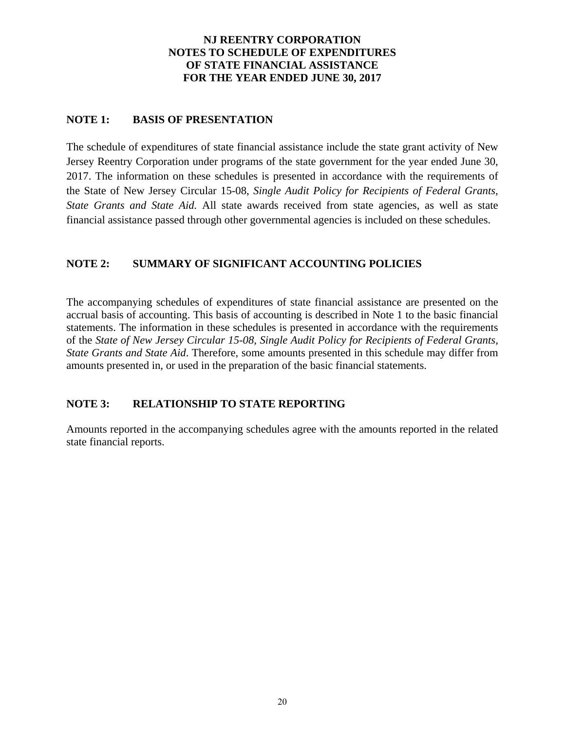### **NJ REENTRY CORPORATION NOTES TO SCHEDULE OF EXPENDITURES OF STATE FINANCIAL ASSISTANCE FOR THE YEAR ENDED JUNE 30, 2017**

### **NOTE 1: BASIS OF PRESENTATION**

The schedule of expenditures of state financial assistance include the state grant activity of New Jersey Reentry Corporation under programs of the state government for the year ended June 30, 2017. The information on these schedules is presented in accordance with the requirements of the State of New Jersey Circular 15-08, *Single Audit Policy for Recipients of Federal Grants, State Grants and State Aid.* All state awards received from state agencies, as well as state financial assistance passed through other governmental agencies is included on these schedules.

### **NOTE 2: SUMMARY OF SIGNIFICANT ACCOUNTING POLICIES**

The accompanying schedules of expenditures of state financial assistance are presented on the accrual basis of accounting. This basis of accounting is described in Note 1 to the basic financial statements. The information in these schedules is presented in accordance with the requirements of the *State of New Jersey Circular 15-08, Single Audit Policy for Recipients of Federal Grants, State Grants and State Aid*. Therefore, some amounts presented in this schedule may differ from amounts presented in, or used in the preparation of the basic financial statements.

### **NOTE 3: RELATIONSHIP TO STATE REPORTING**

Amounts reported in the accompanying schedules agree with the amounts reported in the related state financial reports.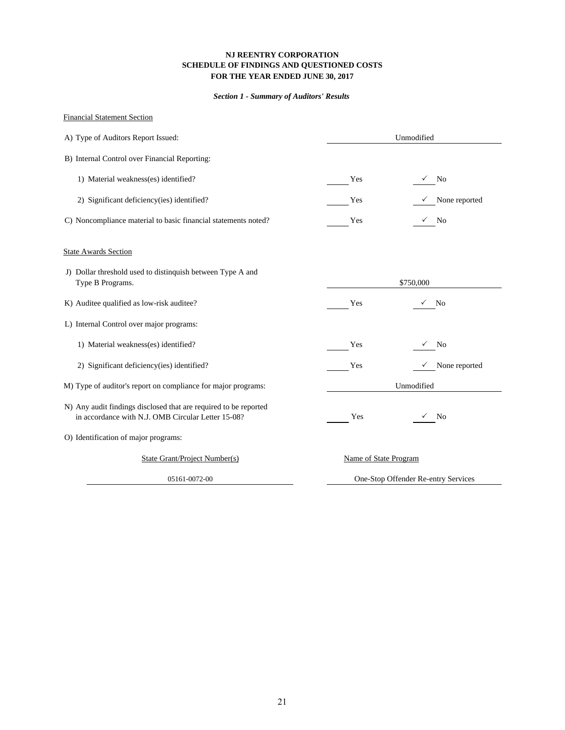### **NJ REENTRY CORPORATION SCHEDULE OF FINDINGS AND QUESTIONED COSTS FOR THE YEAR ENDED JUNE 30, 2017**

### *Section 1 - Summary of Auditors' Results*

### Financial Statement Section

| A) Type of Auditors Report Issued:                                                                                     |                       | Unmodified                          |
|------------------------------------------------------------------------------------------------------------------------|-----------------------|-------------------------------------|
| B) Internal Control over Financial Reporting:                                                                          |                       |                                     |
| 1) Material weakness(es) identified?                                                                                   | Yes                   | $\sqrt{ }$ No                       |
| 2) Significant deficiency(ies) identified?                                                                             | Yes                   | $\checkmark$ None reported          |
| C) Noncompliance material to basic financial statements noted?                                                         | Yes                   | $\sqrt{ }$ No                       |
| <b>State Awards Section</b>                                                                                            |                       |                                     |
| J) Dollar threshold used to distinquish between Type A and<br>Type B Programs.                                         |                       | \$750,000                           |
| K) Auditee qualified as low-risk auditee?                                                                              | Yes                   | No<br>✓                             |
| L) Internal Control over major programs:                                                                               |                       |                                     |
| 1) Material weakness(es) identified?                                                                                   | Yes                   | $\sqrt{ }$ No                       |
| 2) Significant deficiency(ies) identified?                                                                             | Yes                   | None reported                       |
| M) Type of auditor's report on compliance for major programs:                                                          |                       | Unmodified                          |
| N) Any audit findings disclosed that are required to be reported<br>in accordance with N.J. OMB Circular Letter 15-08? | Yes                   | $\sqrt{ }$ No                       |
| O) Identification of major programs:                                                                                   |                       |                                     |
| State Grant/Project Number(s)                                                                                          | Name of State Program |                                     |
| 05161-0072-00                                                                                                          |                       | One-Stop Offender Re-entry Services |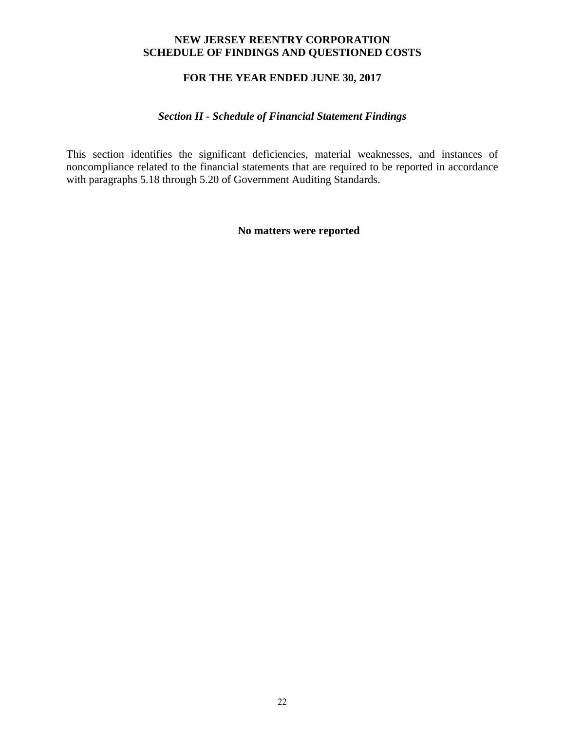### **NEW JERSEY REENTRY CORPORATION SCHEDULE OF FINDINGS AND QUESTIONED COSTS**

### **FOR THE YEAR ENDED JUNE 30, 2017**

### *Section II - Schedule of Financial Statement Findings*

This section identifies the significant deficiencies, material weaknesses, and instances of noncompliance related to the financial statements that are required to be reported in accordance with paragraphs 5.18 through 5.20 of Government Auditing Standards.

**No matters were reported**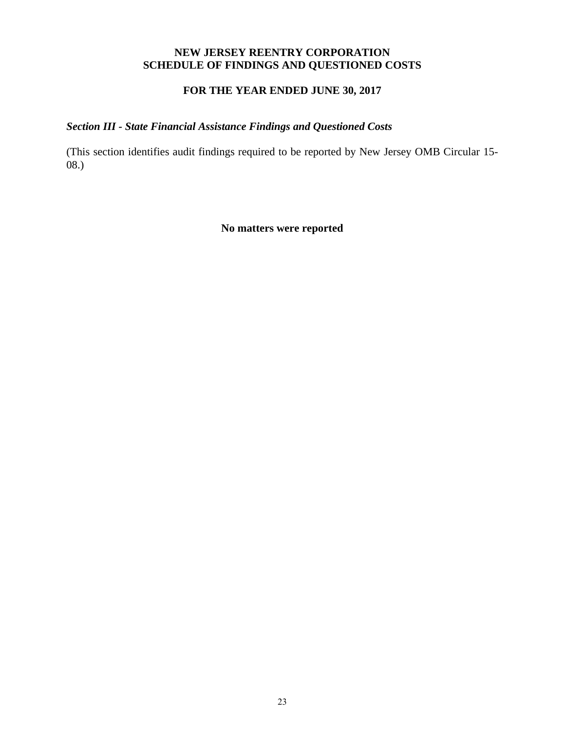### **NEW JERSEY REENTRY CORPORATION SCHEDULE OF FINDINGS AND QUESTIONED COSTS**

### **FOR THE YEAR ENDED JUNE 30, 2017**

### *Section III - State Financial Assistance Findings and Questioned Costs*

(This section identifies audit findings required to be reported by New Jersey OMB Circular 15- 08.)

**No matters were reported**